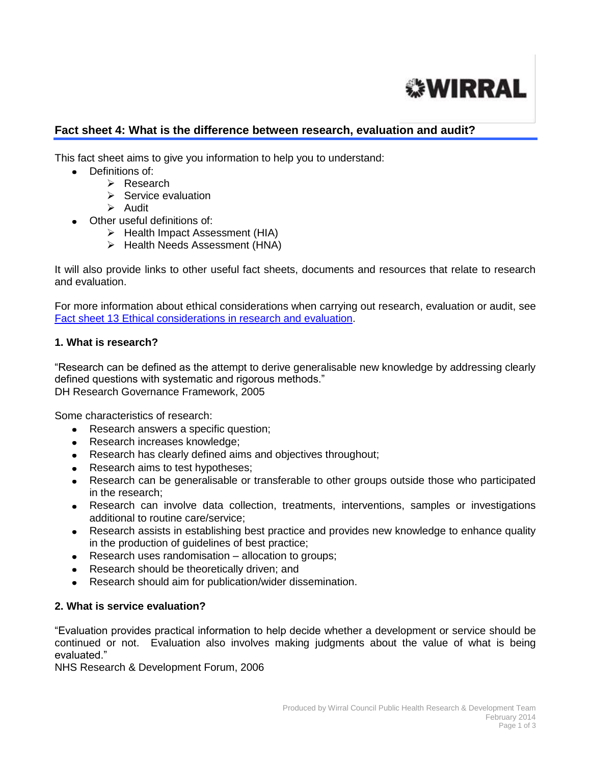

# **Fact sheet 4: What is the difference between research, evaluation and audit?**

This fact sheet aims to give you information to help you to understand:

- Definitions of:
	- Research
	- $\triangleright$  Service evaluation
	- Audit
- Other useful definitions of:
	- $\triangleright$  Health Impact Assessment (HIA)
	- $\triangleright$  Health Needs Assessment (HNA)

It will also provide links to other useful fact sheets, documents and resources that relate to research and evaluation.

For more information about ethical considerations when carrying out research, evaluation or audit, see [Fact sheet 13 Ethical considerations in research and evaluation.](http://info.wirral.nhs.uk/intelligencehub/howtofact-sheetsonevidence&research.html)

### **1. What is research?**

"Research can be defined as the attempt to derive generalisable new knowledge by addressing clearly defined questions with systematic and rigorous methods." DH Research Governance Framework, 2005

Some characteristics of research:

- Research answers a specific question;
- Research increases knowledge;
- Research has clearly defined aims and objectives throughout;
- Research aims to test hypotheses;
- Research can be generalisable or transferable to other groups outside those who participated in the research;
- Research can involve data collection, treatments, interventions, samples or investigations additional to routine care/service;
- Research assists in establishing best practice and provides new knowledge to enhance quality in the production of guidelines of best practice;
- Research uses randomisation allocation to groups;
- Research should be theoretically driven; and
- Research should aim for publication/wider dissemination.

### **2. What is service evaluation?**

"Evaluation provides practical information to help decide whether a development or service should be continued or not. Evaluation also involves making judgments about the value of what is being evaluated."

NHS Research & Development Forum, 2006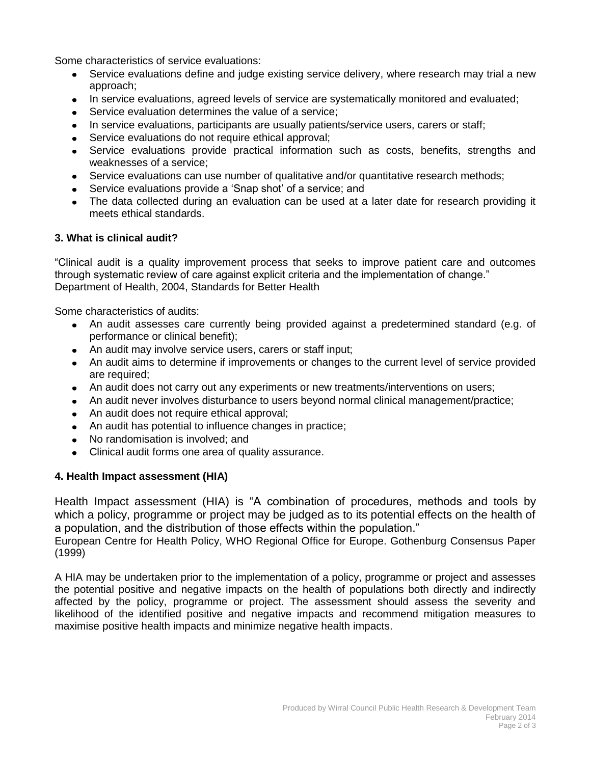Some characteristics of service evaluations:

- Service evaluations define and judge existing service delivery, where research may trial a new approach;
- In service evaluations, agreed levels of service are systematically monitored and evaluated;
- Service evaluation determines the value of a service;
- In service evaluations, participants are usually patients/service users, carers or staff:
- Service evaluations do not require ethical approval;
- Service evaluations provide practical information such as costs, benefits, strengths and weaknesses of a service;
- Service evaluations can use number of qualitative and/or quantitative research methods;
- Service evaluations provide a 'Snap shot' of a service; and
- The data collected during an evaluation can be used at a later date for research providing it meets ethical standards.

### **3. What is clinical audit?**

"Clinical audit is a quality improvement process that seeks to improve patient care and outcomes through systematic review of care against explicit criteria and the implementation of change." Department of Health, 2004, Standards for Better Health

Some characteristics of audits:

- An audit assesses care currently being provided against a predetermined standard (e.g. of performance or clinical benefit);
- An audit may involve service users, carers or staff input;
- An audit aims to determine if improvements or changes to the current level of service provided are required;
- An audit does not carry out any experiments or new treatments/interventions on users;
- An audit never involves disturbance to users beyond normal clinical management/practice;
- An audit does not require ethical approval;
- An audit has potential to influence changes in practice;
- No randomisation is involved; and
- Clinical audit forms one area of quality assurance.

### **4. Health Impact assessment (HIA)**

Health Impact assessment (HIA) is "A combination of procedures, methods and tools by which a policy, programme or project may be judged as to its potential effects on the health of a population, and the distribution of those effects within the population."

[European Centre for Health Policy, WHO Regional Office for Europe. Gothenburg Consensus Paper](http://www.euro.who.int/document/PAE/Gothenburgpaper.pdf)  [\(1999\)](http://www.euro.who.int/document/PAE/Gothenburgpaper.pdf)

A HIA may be undertaken prior to the implementation of a policy, programme or project and assesses the potential positive and negative impacts on the health of populations both directly and indirectly affected by the policy, programme or project. The assessment should assess the severity and likelihood of the identified positive and negative impacts and recommend mitigation measures to maximise positive health impacts and minimize negative health impacts.